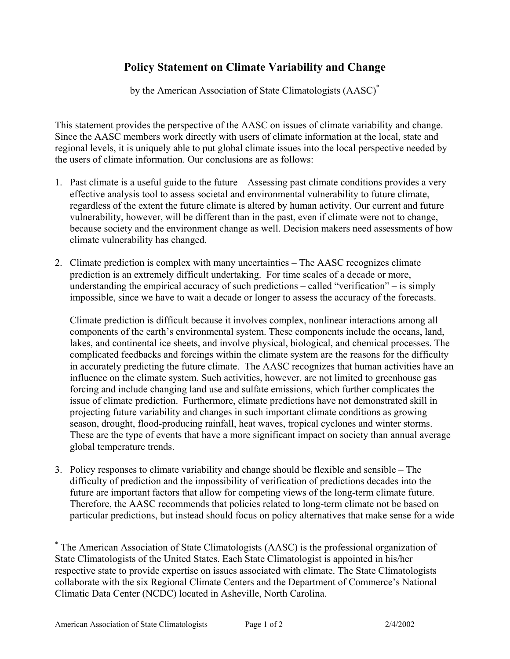## **Policy Statement on Climate Variability and Change**

by the American Association of State Climatologists (AASC)[\\*](#page-0-0)

This statement provides the perspective of the AASC on issues of climate variability and change. Since the AASC members work directly with users of climate information at the local, state and regional levels, it is uniquely able to put global climate issues into the local perspective needed by the users of climate information. Our conclusions are as follows:

- 1. Past climate is a useful guide to the future Assessing past climate conditions provides a very effective analysis tool to assess societal and environmental vulnerability to future climate, regardless of the extent the future climate is altered by human activity. Our current and future vulnerability, however, will be different than in the past, even if climate were not to change, because society and the environment change as well. Decision makers need assessments of how climate vulnerability has changed.
- 2. Climate prediction is complex with many uncertainties The AASC recognizes climate prediction is an extremely difficult undertaking. For time scales of a decade or more, understanding the empirical accuracy of such predictions – called "verification" – is simply impossible, since we have to wait a decade or longer to assess the accuracy of the forecasts.

Climate prediction is difficult because it involves complex, nonlinear interactions among all components of the earth's environmental system. These components include the oceans, land, lakes, and continental ice sheets, and involve physical, biological, and chemical processes. The complicated feedbacks and forcings within the climate system are the reasons for the difficulty in accurately predicting the future climate. The AASC recognizes that human activities have an influence on the climate system. Such activities, however, are not limited to greenhouse gas forcing and include changing land use and sulfate emissions, which further complicates the issue of climate prediction. Furthermore, climate predictions have not demonstrated skill in projecting future variability and changes in such important climate conditions as growing season, drought, flood-producing rainfall, heat waves, tropical cyclones and winter storms. These are the type of events that have a more significant impact on society than annual average global temperature trends.

3. Policy responses to climate variability and change should be flexible and sensible – The difficulty of prediction and the impossibility of verification of predictions decades into the future are important factors that allow for competing views of the long-term climate future. Therefore, the AASC recommends that policies related to long-term climate not be based on particular predictions, but instead should focus on policy alternatives that make sense for a wide

<span id="page-0-0"></span> <sup>\*</sup> The American Association of State Climatologists (AASC) is the professional organization of State Climatologists of the United States. Each State Climatologist is appointed in his/her respective state to provide expertise on issues associated with climate. The State Climatologists collaborate with the six Regional Climate Centers and the Department of Commerce's National Climatic Data Center (NCDC) located in Asheville, North Carolina.